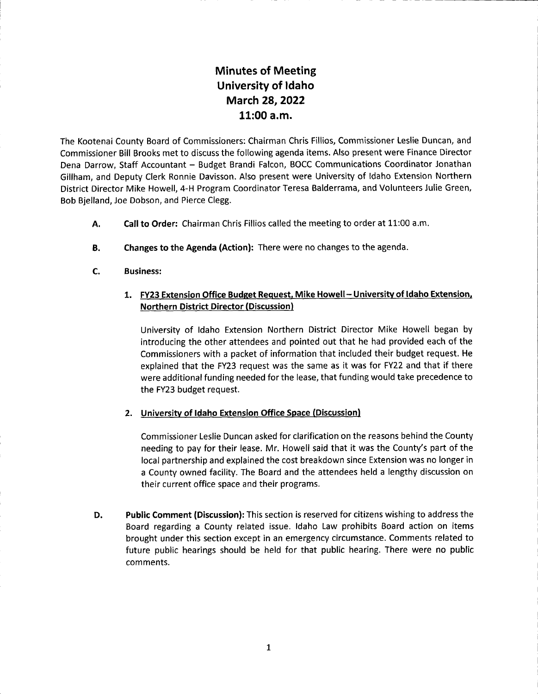## Minutes of Meeting University of ldaho March 28,2022 11:00 a.m.

The Kootenai County Board of Commissioners: Chairman Chris Fillios, Commissioner Leslie Duncan, and Commissioner Bill Brooks met to discuss the following agenda items. Also present were Finance Director Dena Darrow, Staff Accountant - Budget Brandi Falcon, BOCC Communications Coordinator Jonathan Gillham, and Deputy Clerk Ronnie Davisson. Also present were University of ldaho Extension Northern District Director Mike Howell, 4-H Program Coordinator Teresa Balderrama, and Volunteers Julie Green, Bob Bjelland, Joe Dobson, and Pierce Clegg.

- Call to Order: Chairman Chris Fillios called the meeting to order at 11:00 a.m. A.
- Changes to the Agenda (Action): There were no changes to the agenda. B.
- Business: c.

## 1. FY23 Extension Office Budget Request, Mike Howell - University of Idaho Extension, Northern District Director (Discussion)

University of ldaho Extension Northern District Director Mike Howell began by introducing the other attendees and pointed out that he had provided each of the Commissioners with a packet of information that included their budget request. He explained that the FY23 request was the same as it was for FY22 and that if there were additional funding needed for the lease, that funding would take precedence to the FY23 budget request.

## 2. University of Idaho Extension Office Space (Discussion)

Commissioner Leslie Duncan asked for clarification on the reasons behind the County needing to pay for their lease. Mr. Howell said that it was the County's part of the local partnership and explained the cost breakdown since Extension was no longer in a County owned facility. The Board and the attendees held a lengthy discussion on their current office space and their programs.

Public Comment (Discussion): This section is reserved for citizens wishing to address the Board regarding a County related issue. ldaho Law prohibits Board action on items brought under this section except in an emergency circumstance. Comments related to future public hearings should be held for that public hearing. There were no public comments. D